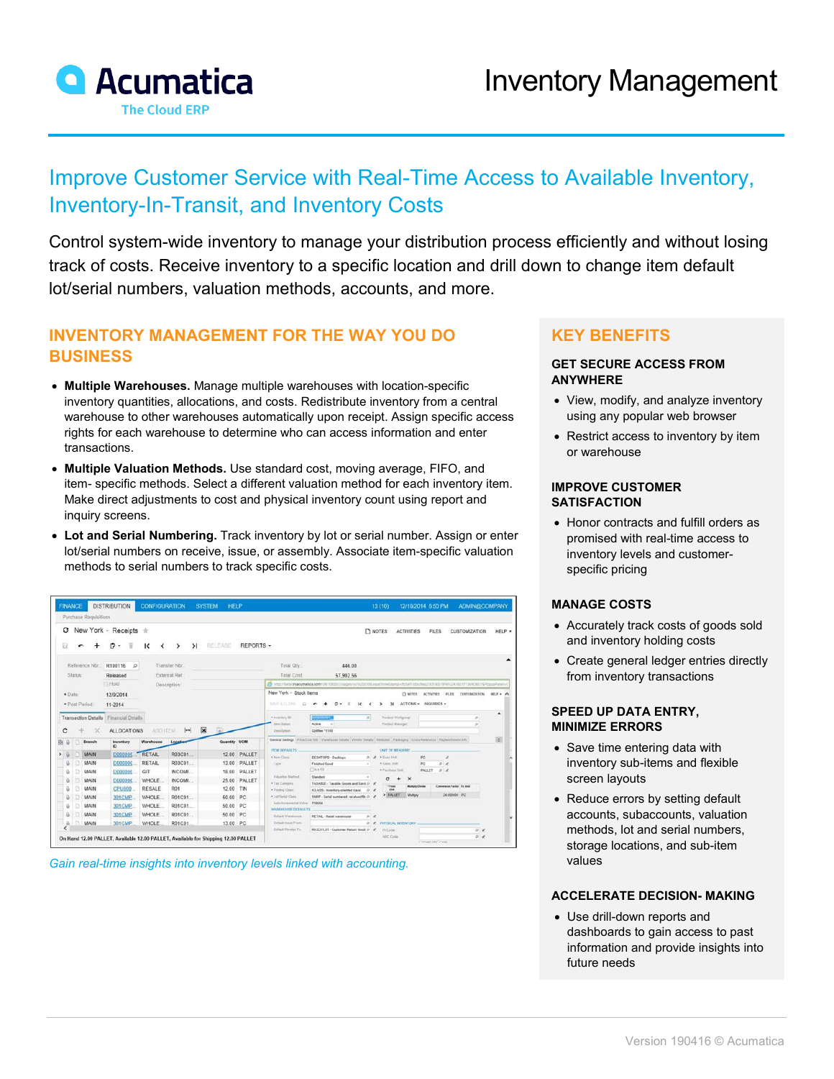

# Improve Customer Service with Real-Time Access to Available Inventory, Inventory-In-Transit, and Inventory Costs

Control system-wide inventory to manage your distribution process efficiently and without losing track of costs. Receive inventory to a specific location and drill down to change item default lot/serial numbers, valuation methods, accounts, and more.

## **INVENTORY MANAGEMENT FOR THE WAY YOU DO BUSINESS**

- **Multiple Warehouses.** Manage multiple warehouses with location-specific inventory quantities, allocations, and costs. Redistribute inventory from a central warehouse to other warehouses automatically upon receipt. Assign specific access rights for each warehouse to determine who can access information and enter transactions.
- **Multiple Valuation Methods.** Use standard cost, moving average, FIFO, and item- specific methods. Select a different valuation method for each inventory item. Make direct adjustments to cost and physical inventory count using report and inquiry screens.
- **Lot and Serial Numbering.** Track inventory by lot or serial number. Assign or enter lot/serial numbers on receive, issue, or assembly. Associate item-specific valuation methods to serial numbers to track specific costs.

|                |   | Purchase Requisitions           |                                         |                       |                             |                          |              |                                                      |                                                                                                                                         |              |                                             |                           |                                                                                                                                                                 |                           |        |
|----------------|---|---------------------------------|-----------------------------------------|-----------------------|-----------------------------|--------------------------|--------------|------------------------------------------------------|-----------------------------------------------------------------------------------------------------------------------------------------|--------------|---------------------------------------------|---------------------------|-----------------------------------------------------------------------------------------------------------------------------------------------------------------|---------------------------|--------|
| $\circ$<br>畳   |   |                                 | New York - Receipts *<br>₩              | к                     | $\geq$<br>⋋                 | RELEASE                  | REPORTS -    |                                                      |                                                                                                                                         | <b>NOTES</b> |                                             | <b>ACTIVITIES</b>         | <b>FILES</b>                                                                                                                                                    | <b>CUSTOMIZATION</b>      | HELP . |
| Reference Nbr. |   |                                 | R100116<br>$\circ$                      |                       | Transfer Nbr.               |                          |              | Total Oty                                            | 446.00                                                                                                                                  |              |                                             |                           |                                                                                                                                                                 |                           |        |
| Status:        |   |                                 | Released                                |                       | External Ref                |                          |              | Total Cost                                           | 57 902 56                                                                                                                               |              |                                             |                           |                                                                                                                                                                 |                           |        |
|                |   |                                 | Hold                                    |                       | Description:                |                          |              |                                                      | 19 http://twi.a.tryacumatica.com/OV/100001/yaqan/in/vi202500.aspx7timeStamp+ftchaf13cf3cf3cf3055051914323418517736908E7APopupPanet+C    |              |                                             |                           |                                                                                                                                                                 |                           |        |
| * Date:        |   |                                 | 12/9/2014                               |                       |                             |                          |              | New York - Stock items                               |                                                                                                                                         |              |                                             | CI NOTES ACTIVITIES FILES | CUSTOM/ZATION                                                                                                                                                   | HELP . A                  |        |
|                |   | * Post Period:                  | 11-2014                                 |                       |                             |                          |              | NAVE A (2, ONE)<br><b>SH</b>                         | $\circ$<br>۰<br>ĸ                                                                                                                       |              | $\mathcal{H}$<br>$\rightarrow$              | ACTIONS . INQUIRIES .     |                                                                                                                                                                 |                           |        |
| c              |   | <b>Transaction Details</b><br>× | Financial Details<br><b>ALLOCATIONS</b> | ADD ITEM              | $\left  \leftarrow \right $ | $\vert \mathbf{x} \vert$ |              | · Inventory ID:<br><b>bent Thabox</b><br>Description | <b>XISSON BALL</b><br>Active<br>٠<br>Optifies F5100                                                                                     | D            | Product Workgroup<br><b>Product Manager</b> |                           |                                                                                                                                                                 | $\overline{\mu}$<br>p     | ٠      |
| $\theta$       |   | Branch                          | Inventory<br><b>ID</b>                  | Warehouse             | Location                    | Quantity UOM             |              |                                                      | General Settings Price/Cost lists   Warehouse Details   Vendor Details   Altitudes   Packaging   Cross-Halwence   Replaciationsof lists |              |                                             |                           |                                                                                                                                                                 |                           | 窗      |
|                |   | MAIN                            | D000000                                 | <b>RETAIL</b>         | R03C01                      |                          | 12.00 PALLET | ITEM DETAILTS<br>* Bain Class                        |                                                                                                                                         |              | LINT OF MEASURE<br>· Basa Unit              | PC.                       | $\mathcal{L}_{\mathcal{A}}^{\text{max}}(\mathcal{A}) = \mathcal{L}_{\mathcal{A}}^{\text{max}}(\mathcal{A}) \mathcal{L}_{\mathcal{A}}^{\text{max}}(\mathcal{A})$ |                           |        |
|                |   | MAIN                            | <b>D000000</b>                          | <b>RETAIL</b>         | R03C01                      |                          | 13.00 PALLET | <b>Type</b>                                          | DESKTOPS - Desktops<br>Finished Good                                                                                                    | D<br>$\sim$  | * highest Linds                             | PC                        | 0/4                                                                                                                                                             |                           |        |
|                |   | MAIN                            | D00000C                                 | GIT                   | INCOME.                     |                          | 18.00 PALLET |                                                      | $\Box$ is a Kit                                                                                                                         |              | <b>4 Punchase Unit</b>                      |                           | PALLET<br>$D$ $R$                                                                                                                                               |                           |        |
| a              |   | MAIN                            | D00000C                                 | <b>WHOLE</b>          | INCOME.                     |                          | 25.00 PALLET | Valuation Mathed                                     | Standard                                                                                                                                |              | c                                           | $\boldsymbol{\times}$     |                                                                                                                                                                 |                           |        |
| D.             | R |                                 |                                         | <b>RESALE</b>         | R01                         | 12.00 TIN                |              | . Tax Category<br>* Posting Class                    | TAXABLE - Taxable Goods and Send D<br>ICLASS - Inventory-oriented class                                                                 | D            | * Four<br><b>King</b>                       | Motton Course             |                                                                                                                                                                 | Commersion Factor To Unit |        |
| û              | n | <b>MAIN</b>                     |                                         |                       |                             |                          |              | Continued Class                                      | SNRF - Serial mambered, received file D af-                                                                                             |              | > PALLET                                    | Multiply                  |                                                                                                                                                                 | 24800000 PC               |        |
| ü              | п | MAIN                            | CPU000                                  |                       | R01C01                      | 50.00 PC                 |              |                                                      |                                                                                                                                         |              |                                             |                           |                                                                                                                                                                 |                           |        |
| a              |   |                                 | 301CMP.                                 | WHOLE                 |                             |                          |              | Auto-Inclamental Value 720654                        |                                                                                                                                         |              |                                             |                           |                                                                                                                                                                 |                           |        |
| ü              |   | MAIN                            | 301CMP                                  | WHOLE                 | R01C01                      | 50.00 PC                 |              | WAREHOUSE DEFAULTS.                                  |                                                                                                                                         |              |                                             |                           |                                                                                                                                                                 |                           |        |
| a<br>$\Omega$  | в | <b>MAIN</b><br><b>MAIN</b>      | 301CMP<br>301CMP                        | <b>WHOLE</b><br>WHOLE | R01C01<br>R01C01            | 50.00 PC<br>13.00 PC     |              | Dalast Wandowski<br>Dafault Issue From:              | RETAIL - Retail warehouse                                                                                                               | D<br>D       | <b>FIVESION, INVENTORY</b>                  |                           |                                                                                                                                                                 |                           |        |

*Gain real-time insights into inventory levels linked with accounting.*

## **KEY BENEFITS**

#### **GET SECURE ACCESS FROM ANYWHERE**

- View, modify, and analyze inventory using any popular web browser
- Restrict access to inventory by item or warehouse

#### **IMPROVE CUSTOMER SATISFACTION**

• Honor contracts and fulfill orders as promised with real-time access to inventory levels and customerspecific pricing

#### **MANAGE COSTS**

- Accurately track costs of goods sold and inventory holding costs
- Create general ledger entries directly from inventory transactions

#### **SPEED UP DATA ENTRY, MINIMIZE ERRORS**

- Save time entering data with inventory sub-items and flexible screen layouts
- Reduce errors by setting default accounts, subaccounts, valuation methods, lot and serial numbers, storage locations, and sub-item values

#### **ACCELERATE DECISION- MAKING**

• Use drill-down reports and dashboards to gain access to past information and provide insights into future needs